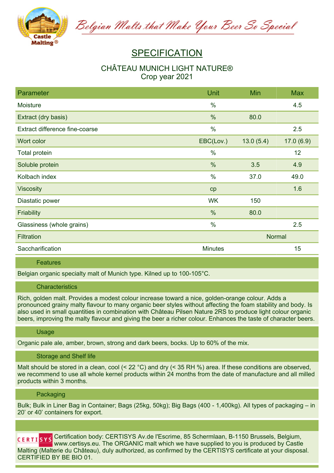

Belgian Malts that Make Your Beer So Special

# **SPECIFICATION**

## **CHÂTEAU MUNICH LIGHT NATURE® Crop year 2021**

| Parameter                      | Unit           | Min           | <b>Max</b> |
|--------------------------------|----------------|---------------|------------|
| Moisture                       | $\%$           |               | 4.5        |
| Extract (dry basis)            | %              | 80.0          |            |
| Extract difference fine-coarse | $\frac{0}{0}$  |               | 2.5        |
| Wort color                     | EBC(Lov.)      | 13.0(5.4)     | 17.0(6.9)  |
| Total protein                  | $\frac{0}{0}$  |               | 12         |
| Soluble protein                | %              | 3.5           | 4.9        |
| Kolbach index                  | $\%$           | 37.0          | 49.0       |
| <b>Viscosity</b>               | cp             |               | 1.6        |
| Diastatic power                | <b>WK</b>      | 150           |            |
| Friability                     | $\frac{0}{0}$  | 80.0          |            |
| Glassiness (whole grains)      | $\%$           |               | 2.5        |
| <b>Filtration</b>              |                | <b>Normal</b> |            |
| Saccharification               | <b>Minutes</b> |               | 15         |

#### **Features**

**Belgian organic specialty malt of Munich type. Kilned up to 100-105°C.**

#### **Characteristics**

**Rich, golden malt. Provides a modest colour increase toward a nice, golden-orange colour. Adds a** pronounced grainy malty flavour to many organic beer styles without affecting the foam stability and body. Is also used in small quantities in combination with Château Pilsen Nature 2RS to produce light colour organic beers, improving the malty flavour and giving the beer a richer colour. Enhances the taste of character beers.

#### **Usage**

**Organic pale ale, amber, brown, strong and dark beers, bocks. Up to 60% of the mix.**

#### **Storage and Shelf life**

Malt should be stored in a clean, cool  $(< 22 °C)$  and dry  $(< 35 RH$ %) area. If these conditions are observed. we recommend to use all whole kernel products within 24 months from the date of manufacture and all milled **products within 3 months.**

#### **Packaging**

Bulk; Bulk in Liner Bag in Container; Bags (25kg, 50kg); Big Bags (400 - 1,400kg). All types of packaging – in **20' or 40' containers for export.**

**Certification body: CERTISYS Av.de l'Escrime, 85 Schermlaan, B-1150 Brussels, Belgium, www.certisys.eu. The ORGANIC malt which we have supplied to you is produced by Castle Malting (Malterie du Château), duly authorized, as confirmed by the CERTISYS certificate at your disposal. CERTIFIED BY BE BIO 01.**